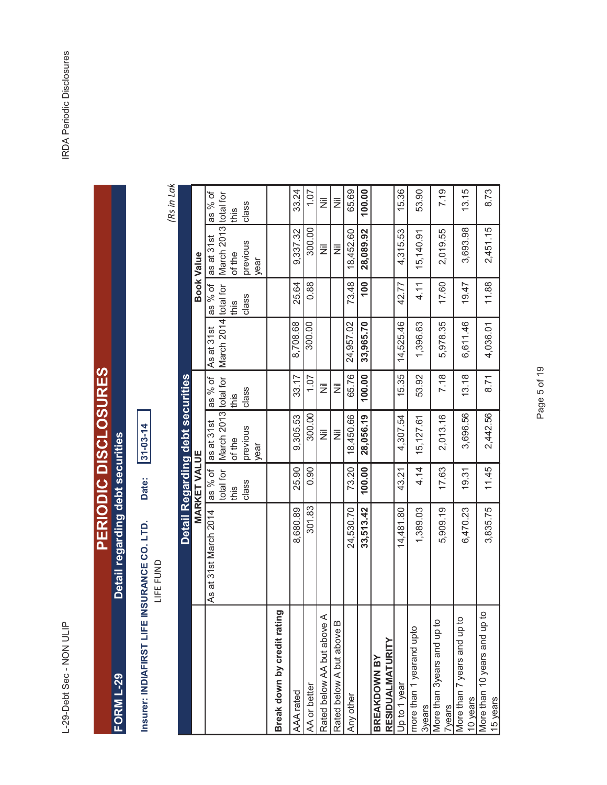L-29-Debt Sec - NON ULIP

IRDA Periodic Disclosures L-29-Debt Sec - NON ULIP<br>L-29-Debt Sec - NON ULIP

| <b>CLCIIC(こうりょく)について</b><br>ום<br>כ |   |  |
|-------------------------------------|---|--|
|                                     | ĺ |  |

 $31 - 03 - 14$ **Insurer: INDIAFIRST LIFE INSURANCE CO. LTD. Date: 31-03-14** Date: Insurer: INDIAFIRST LIFE INSURANCE CO. LTD.<br>LIFE FUND

*(Rs in Lakhs)*

|                                                   |                       |                                | Detail Regarding debt securities                                                           |                 |            |                   |                           |                  |
|---------------------------------------------------|-----------------------|--------------------------------|--------------------------------------------------------------------------------------------|-----------------|------------|-------------------|---------------------------|------------------|
|                                                   |                       | <b>MARKET VALUE</b>            |                                                                                            |                 |            | <b>Book Value</b> |                           |                  |
|                                                   | As at 31st March 2014 | total for<br>las % of<br>lthis | March 2013 total for   March 2014 total for   March 2013 total for<br>as at 31st<br>of the | as % of<br>this | As at 31st | as % of<br>this   | as at 31st<br>of the      | as % of<br>lthis |
|                                                   |                       | class                          | previous<br>year                                                                           | class           |            | class             | previous<br>year          | class            |
| pui<br>Break down by credit rati                  |                       |                                |                                                                                            |                 |            |                   |                           |                  |
| AAA rated                                         | 8,680.89              | 25.90                          | 9,305.53                                                                                   | 33.17           | 8,708.68   | 25.64             | 9,337.32                  | 33.24            |
| AA or better                                      | 301.83                | 0.90                           | 300.00                                                                                     | 1.07            | 300.00     | 0.88              | 300.00                    | 1.07             |
| ⋖<br>Rated below AA but above                     |                       |                                | Ξ                                                                                          | Ë               |            |                   | $\overline{\overline{z}}$ | Ë                |
| Rated below A but above B                         |                       |                                | Ξ                                                                                          | Ë               |            |                   | Ξ                         | Ē                |
| Any other                                         | 24,530.70             | 73.20                          | 18,450.66                                                                                  | 65.76           | 24,957.02  | 73.48             | 18,452.60                 | 65.69            |
|                                                   | 33,513.42             | 100.00                         | 28,056.19                                                                                  | 100.00          | 33,965.70  | 001               | 28,089.92                 | 100.00           |
| BREAKDOWN BY                                      |                       |                                |                                                                                            |                 |            |                   |                           |                  |
| RESIDUALMATURITY                                  |                       |                                |                                                                                            |                 |            |                   |                           |                  |
| Up to 1 year                                      | 14,481.80             | 43.21                          | 4,307.54                                                                                   | 15.35           | 14,525.46  | 42.77             | 4,315.53                  | 15.36            |
| more than 1 yearand upto<br>3years                | 1,389.03              | 4.14                           | 15,127.61                                                                                  | 53.92           | 1,396.63   | 4.11              | 15,140.91                 | 53.90            |
| More than 3years and up to<br><b>Tyears</b>       | 5,909.19              | 17.63                          | 2,013.16                                                                                   | 7.18            | 5,978.35   | 17.60             | 2,019.55                  | 7.19             |
| More than 7 years and up to<br>10 years           | 6,470.23              | 19.31                          | 3,696.56                                                                                   | 13.18           | 6,611.46   | 19.47             | 3,693.98                  | 13.15            |
| <u>ု</u><br>More than 10 years and up<br>15 years | 3,835.75              | 11.45                          | 2,442.56                                                                                   | 8.71            | 4,036.01   | 11.88             | 2,451.15                  | 8.73             |

## Page 5 of 19 Page 5 of 19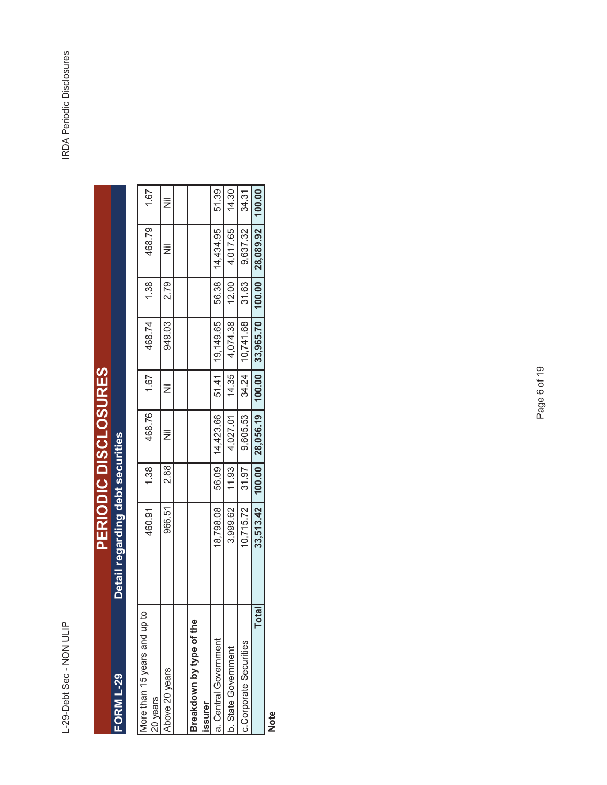## PERIODIC DISCLOSURES<br>Detail regarding debt securities **PERIODIC DISCLOSURES FORM L-29 Detail regarding debt securities** and un to More than 15 years FORM L-29

| 100.00 |                   |       |                   |       |                   |       | 33,513.42 | Total                                    |
|--------|-------------------|-------|-------------------|-------|-------------------|-------|-----------|------------------------------------------|
| 34.31  | 9,637.32          | 31.63 | 10,741.68         | 34.24 | 9,605.53          | 31.97 | 10,715.72 | c.Corporate Securities                   |
| 14.30  | 4,017.65          | 12.00 | 4,074.38          | 14.35 | 4,027.01          | 11.93 | 3,999.62  | b. State Government                      |
| 51.39  | 56.38   14,434.95 |       | 51.41   19,149.65 |       | 56.09   14,423.66 |       | 18,798.08 | a. Central Government                    |
|        |                   |       |                   |       |                   |       |           | Breakdown by type of the<br>issurer      |
|        |                   |       |                   |       |                   |       |           |                                          |
| Ż      | Ë                 | 2.79  | 949.03            | Ë     |                   | 2.88  | 966.51    | Above 20 years                           |
| 1.67   | 468.79            | 1.38  | 468.74            | 1.67  | 468.76            | 1.38  | 460.91    | More than 15 years and up to<br>20 years |

**Note**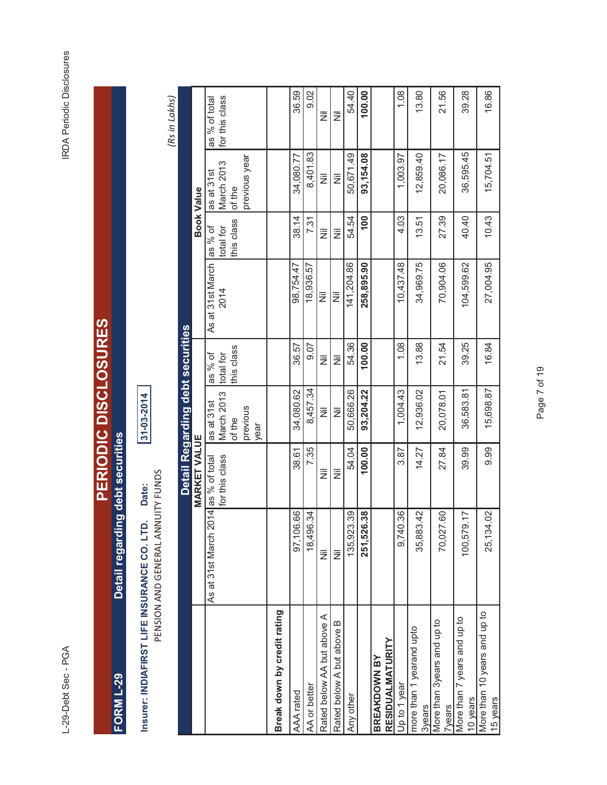L-29-Debt Sec - PGA

**RDA Periodic Disclosures** L-29-Debt Sec - PGA IRDA Periodic Disclosures

| ERIODIC DISCLOSURES | ļ<br>laht cad |  |
|---------------------|---------------|--|
|                     | ï             |  |

**Insurer: INDIAFIRST LIFE INSURANCE CO. LTD. Date: 31-03-2014** PENSION AND GENERAL ANNUITY FUNDS PENSION AND GENERAL ANNUITY FUNDS Date: Insurer: INDIAFIRST LIFE INSURANCE CO. LTD.

1-03-2014

54.40 36.59 AAA rated 97,106.66 38.61 34,080.62 36.57 98,754.47 38.14 34,080.77 36.59  $9.02$ AA or better (18,496.34 7.35 8,457.34 9.07 18,936.57 7.31 8,401.83 9.02 Any other 135,923.39 54.04 50,666.26 54.36 141,204.86 54.54 50,671.49 54.40 100.00  **251,526.38 100.00 93,204.22 100.00 258,895.90 100 93,154.08 100.00**  1.08 Up to 1 year 9,740.36 3.87 1,004.43 1.08 10,437.48 4.03 1,003.97 1.08 13.80 3years 35,883.42 14.27 12,936.02 13.88 34,969.75 13.51 12,859.40 13.80 21.56 7years 70,027.60 27.84 20,078.01 21.54 70,904.06 27.39 20,086.17 21.56 39.28 10 years 100,579.17 39.99 36,583.81 39.25 104,599.62 40.40 36,595.45 39.28 16.86 15 years 25,134.02 9.99 15,698.87 16.84 27,004.95 10.43 15,704.51 16.86 for this class *(Rs in Lakhs)* as % of total as % of total  $\bar{\bar{z}}$  $\overline{\overline{z}}$ Rated below AA but above A Nil Nil Nil Nil Nil Nil Nil Nil Rated below A but above B Nil Nil Nil Nil Nil Nil Nil Nil 8,401.83 50,671.49 36,595.45 93, 154.08 12,859.40 20,086.17 15,704.51 34,080.77 1,003.97 previous year previous year as at 31st<br>March 2013 March 2013 l≣  $\overline{\overline{z}}$ of the **Book Value MARKET VALUE Book Value**  $10.43$  $38.14$ 54.54 4.03 27.39 40.40 7.31 100 13.51 this class as % of total for  $\overline{\overline{z}}$ İΞ As at 31st March 34,969.75 27,004.95 As at 31st March 98,754.47 141,204.86 258,895.90 10,437.48 70,904.06 104,599.62 18,936.57 2014  $\overline{\overline{z}}$ Ιā Detail Regarding debt securities **Detail Regarding debt securities**  $9.07$ 54.36 100.00 1.08 13.88 21.54 39.25 16.84 36.57 this class as % of total for  $\bar{z}$ İΞ as at 31st<br>March 2013 8,457.34 15,698.87 34,080.62 50,666.26 93,204.22 1,004.43 12,936.02 20,078.01 36,583.81 March 2013 previous  $\overline{\overline{z}}$ İΞ of the year **MARKET VALUE** 7.35 38.61 54.04 100.00 3.87 14.27 27.84 39.99 9.99 As at 31st March 2014 as % of total<br>for this class As at 31st March 2014 as % of total  $\overline{\overline{z}}$  $\overline{\overline{z}}$ 97,106.66 9,740.36 25,134.02 18,496.34 135,923.39 251,526.38 35,883.42 70,027.60 100,579.17  $\overline{\overline{z}}$ l≣ Break down by credit rating More than 10 years and up to **Break down by credit rating** More than 10 years and up to Rated below AA but above A More than 7 years and up to More than 3years and up to More than 7 years and up to More than 3years and up to Rated below A but above B more than 1 yearand upto more than 1 yearand upto **RESIDUALMATURITY RESIDUALMATURITY BREAKDOWN BY BREAKDOWN BY** Jp to 1 year AA or better AAA rated Any other 10 years 15 years **3years Tyears**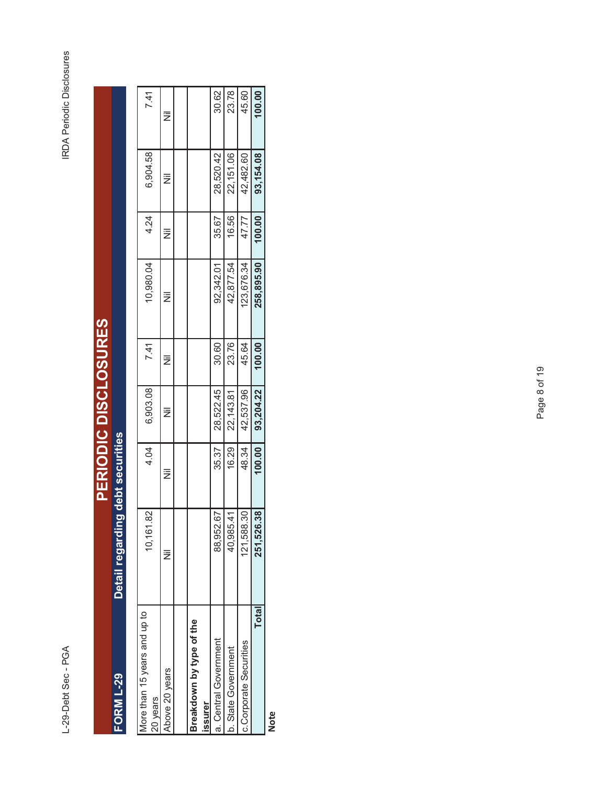L-29-Debt Sec - PGA

|                              |                                  | <b>PERIODIC DISCLOSURES</b> |               |      |           |      |          |      |
|------------------------------|----------------------------------|-----------------------------|---------------|------|-----------|------|----------|------|
| <b>FORM L-29</b>             | Detail regarding debt securities |                             |               |      |           |      |          |      |
|                              |                                  |                             |               |      |           |      |          |      |
| More than 15 years and up to | 10,161.82                        |                             | 4.04 6,903.08 | 7.41 | 10,980.04 | 4.24 | 6,904.58 | 7.41 |
| 20 years                     |                                  |                             |               |      |           |      |          |      |
| Nove 20 years                |                                  | Ë                           |               |      |           |      |          |      |

| More than 15 years and up to<br>20 years | 10,161.82  | 4.04   | 6,903.08   | 7.41   | 10,980.04  | 4.24   | 6,904.58  | 7.41   |  |
|------------------------------------------|------------|--------|------------|--------|------------|--------|-----------|--------|--|
| Above 20 years                           |            | Ë      |            |        |            |        | Ξ         |        |  |
|                                          |            |        |            |        |            |        |           |        |  |
| Breakdown by type of the                 |            |        |            |        |            |        |           |        |  |
| <b>ISSUrer</b>                           |            |        |            |        |            |        |           |        |  |
| a. Central Government                    | 88,952.67  | 35.37  | 28,522.45  | 30.60  | 92,342.01  | 35.67  | 28,520.42 | 30.62  |  |
| b. State Government                      | 40,985.41  | 16.29  | 22, 143.81 | 23.76  | 42,877.54  | 16.56  | 22,151.06 | 23.78  |  |
| c.Corporate Securities                   | 121,588.30 | 48.34  | 42,537.96  | 45.64  | 123,676.34 | 47.77  | 42,482.60 | 45.60  |  |
| Total                                    | 251,526.38 | 100.00 | 93,204.22  | 100.00 | 258,895.90 | 100.00 | 93,154.08 | 100.00 |  |
|                                          |            |        |            |        |            |        |           |        |  |

**Note**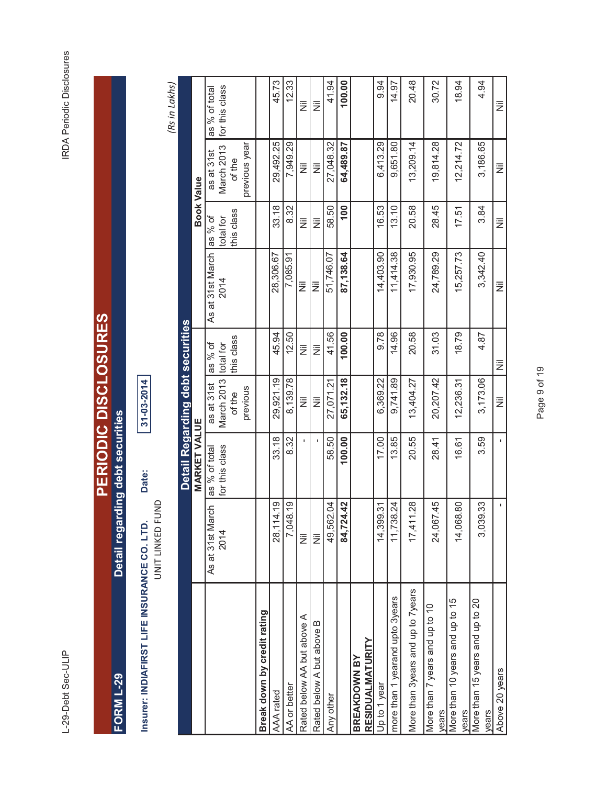L-29-Debt Sec-ULIP

IRDA Periodic Disclosures L-29-Debt Sec-ULIP<br>L-29-Debt Sec-ULIP

| <b>CHAIRS INSIDENT CIRCIN</b> |               |  |
|-------------------------------|---------------|--|
| i<br>R                        | $\frac{a}{a}$ |  |
|                               | h             |  |

**Insurer: INDIAFIRST LIFE INSURANCE CO. LTD. Date: 31-03-2014** Date: Insurer: INDIAFIRST LIFE INSURANCE CO. LTD.

UNIT LINKED FUND UNIT LINKED FUND

31-03-2014

*(Rs in Lakhs)*

|                                          |                                  |                     | Detail Regarding debt securities |            |                  |                   |               |                |
|------------------------------------------|----------------------------------|---------------------|----------------------------------|------------|------------------|-------------------|---------------|----------------|
|                                          |                                  | <b>MARKET VALUE</b> |                                  |            |                  | <b>Book Value</b> |               |                |
|                                          | As at 31st March                 | as % of total       | as at 31st                       | as % of    | As at 31st March | as % of           | as at 31st    | as % of total  |
|                                          | 2014                             | for this class      | March 2013 total for             |            | 2014             | total for         | March 2013    | for this class |
|                                          |                                  |                     | of the                           | this class |                  | this class        | of the        |                |
|                                          |                                  |                     | previous                         |            |                  |                   | previous year |                |
| Break down by credit rating              |                                  |                     |                                  |            |                  |                   |               |                |
| AAA rated                                | 28,114.19                        | 33.18               | 29,921.19                        | 45.94      | 28,306.67        | 33.18             | 29,492.25     | 45.73          |
| AA or better                             | 7,048.19                         | 8.32                | 8,139.78                         | 12.50      | 7,085.91         | 8.32              | 7,949.29      | 12.33          |
| Rated below AA but above A               | $\bar{\bar{z}}$                  |                     | Ē                                | Ē          | ż                | Ξ                 | Ξ             | Ē              |
| Rated below A but above B                | Ē                                |                     | Ē                                | ž          | ż                | Ē                 | ž             | Ē              |
| Any other                                | 49,562.04                        | 58.50               | 27,071.21                        | 41.56      | 51,746.07        | 58.50             | 27,048.32     | 41.94          |
|                                          | $\frac{2}{3}$<br>84,724          | 100.00              | 65,132.18                        | 100.00     | 87,138.64        | $\frac{00}{1}$    | 64,489.87     | 100.00         |
| <b>RESIDUALMATURITY</b><br>BREAKDOWN BY  |                                  |                     |                                  |            |                  |                   |               |                |
| Up to 1 year                             | $\tilde{\mathcal{S}}$<br>14,399. | 17.00               | 6,369.22                         | 9.78       | 14,403.90        | 16.53             | 6,413.29      | 9.94           |
| more than 1 yearand upto 3years          | $\overline{24}$<br>11,738.       | 13.85               | 9,741.89                         | 14.96      | 11,414.38        | 13.10             | 9,651.80      | 14.97          |
| More than 3years and up to 7years        | $\frac{8}{2}$<br>17,411          | 20.55               | 13,404.27                        | 20.58      | 17,930.95        | 20.58             | 13,209.14     | 20.48          |
| More than 7 years and up to 10<br>vears  | 45<br>24,067                     | 28.41               | 20,207.42                        | 31.03      | 24,789.29        | 28.45             | 19,814.28     | 30.72          |
| More than 10 years and up to 15<br>years | 80<br>14,068                     | 16.61               | 12,236.31                        | 18.79      | 15,257.73        | 17.51             | 12,214.72     | 18.94          |
| More than 15 years and up to 20<br>years | 33<br>3,039.                     | 3.59                | 3,173.06                         | 4.87       | 3,342.40         | 3.84              | 3,186.65      | 4.94           |
| Above 20 years                           | ı                                |                     | Ē                                | ž          | Ξ                | Ē                 | Ë             | Ë              |

Page 9 of 19 Page 9 of 19